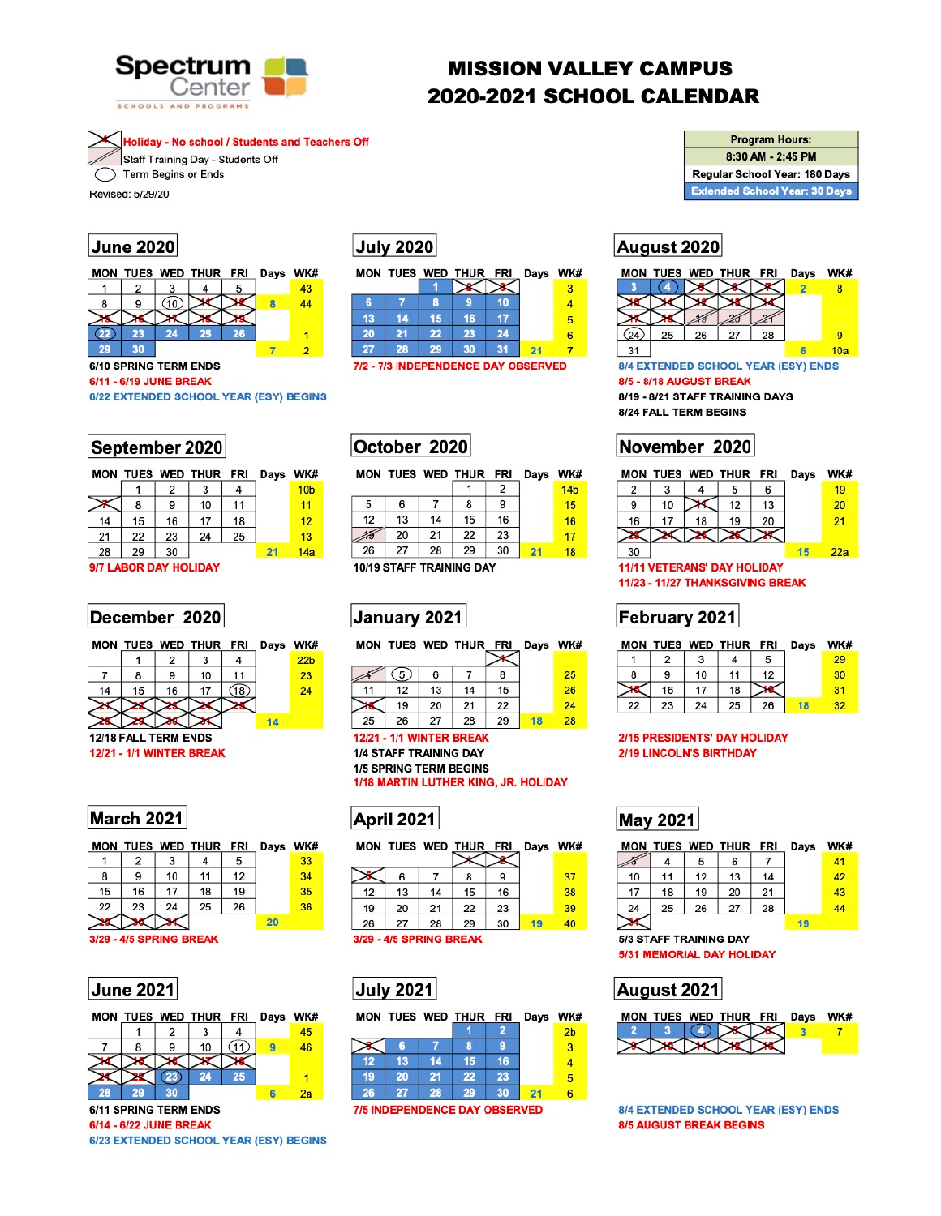

# **MISSION VALLEY CAMPUS 2020-2021 SCHOOL CALENDAR**

**Holiday - No school / Students and Teachers Off** Staff Training Day - Students Off Term Begins or Ends

Revised: 5/29/20

## June 2020



### 6/10 SPRING TERM ENDS

6/11 - 6/19 JUNE BREAK

6/22 EXTENDED SCHOOL YEAR (ESY) BEGINS

|  | September 2020 |
|--|----------------|
|--|----------------|

|    |                       | MON TUES WED THUR FRI |    |    | Days WK |                 |  |
|----|-----------------------|-----------------------|----|----|---------|-----------------|--|
|    |                       | 2                     | 3  | 4  |         | 10 <sub>b</sub> |  |
|    | 8                     | 9                     | 10 | 11 |         | 11              |  |
| 14 | 15                    | 16                    | 17 | 18 |         | 12              |  |
| 21 | 22                    | 23                    | 24 | 25 |         | 13              |  |
| 28 | 29                    | 30                    |    |    | 21      | 14a             |  |
|    | 9/7 LABOR DAY HOLIDAY |                       |    |    |         |                 |  |

### December 2020

|  |  |  | MON TUES WED THUR FRI Days WK |                 |     |
|--|--|--|-------------------------------|-----------------|-----|
|  |  |  |                               | 22 <sub>b</sub> |     |
|  |  |  | 10                            | 11              | 23. |
|  |  |  |                               |                 |     |

# **July 2020**

|    |    |    | MON TUES WED THUR FRI Days WK# |    |   |
|----|----|----|--------------------------------|----|---|
|    |    |    |                                |    |   |
| 6  |    | 8. |                                |    |   |
| 13 | 14 | 15 | 16                             |    | 5 |
| 20 | 21 | 22 | 23                             | 24 | 6 |
|    | 28 | 29 | 30                             | 34 |   |

7/2 - 7/3 INDEPENDENCE DAY OBSERVED

### MON TUES WED THUR FRI Days WK#

|    |    |    |    | 2  | 14 <sub>b</sub> |
|----|----|----|----|----|-----------------|
| 5  | 6  |    | 8  | 9  | 15              |
| 12 | 13 | 14 | 15 | 16 | 16              |
|    | 20 | 21 | 22 | 23 | 17              |
| 26 | 27 | 28 | 29 | 30 | 18              |
| .  |    |    |    |    |                 |

10/19 STAFF TRAINING DAY

# January 2021

MON THEO WED THIS EDI

|    |     |    | <b>MUN IULS WED INUK FRI</b> |    | <b>Days</b> | <b>VVM</b> |
|----|-----|----|------------------------------|----|-------------|------------|
|    |     |    |                              |    |             |            |
|    | (5) |    |                              |    |             | 25         |
| 11 | 12  | 13 | 14                           | 15 |             | 26         |
|    | 19  | 20 | 21                           | 22 |             | 24         |
| 25 | 26  | 27 | 28                           | 29 |             | 28         |

| <b>Program Hours:</b> |
|-----------------------|
| 8:30 AM - 2:45 PM     |
|                       |

Regular School Year: 180 Days **Extended School Year: 30 Days** 

# August 2020



8/4 EXTENDED SCHOOL YEAR (ESY) ENDS 8/5 - 8/18 AUGUST BREAK

8/19 - 8/21 STAFF TRAINING DAYS 8/24 FALL TERM BEGINS

| November 2020 |  |
|---------------|--|
|---------------|--|

| MON |    |    | TUES WED THUR FRI |    | Days | WK# |
|-----|----|----|-------------------|----|------|-----|
| 2   |    |    | 5                 | 6  |      | 19  |
| 9   | 10 |    | 12                | 13 |      | 20  |
| 16  | 17 | 18 | 19                | 20 |      | 21  |
|     |    |    |                   |    |      |     |
| 30  |    |    |                   |    | 15   | 22a |
|     |    |    |                   |    |      |     |

**11/11 VETERANS' DAY HOLIDAY** 11/23 - 11/27 THANKSGIVING BREAK

# February 2021

|  |    |     |    | MON TUES WED THUR FRI Days | WK#  |
|--|----|-----|----|----------------------------|------|
|  |    |     |    |                            | -29. |
|  | 10 | 11  | 12 |                            | 30   |
|  |    | 1 Ջ |    |                            |      |



**12/21 - 1/1 WINTER BREAK 1/4 STAFF TRAINING DAY 1/5 SPRING TERM BEGINS** 1/18 MARTIN LUTHER KING, JR. HOLIDAY



| Days | WK# |      | MON TUES WED THUR FRI |    |    |    | Days |
|------|-----|------|-----------------------|----|----|----|------|
|      | 33  |      |                       |    |    |    |      |
|      | 34  |      | 6                     |    | 8  | 9  |      |
|      | 35  | 12   | 13                    | 14 | 15 | 16 |      |
|      | 36  | 19   | 20                    | 21 | 22 | 23 |      |
| 20   |     | 26   | 27                    | 28 | 29 | 30 | 19   |
|      |     | ---- |                       |    |    |    |      |

### **June 2021**

March 2021

2

9

16

23

3/29 - 4/5 SPRING BREAK

 $\mathbf{1}$ 

8

15

22

MON TUES WED THUR FRI

3

10

17

24

4

11

18

25

5

 $12$ 

19

26

|    |   | MON TUES WED THUR FRI |    | Days WK# |    |
|----|---|-----------------------|----|----------|----|
|    |   |                       |    |          | 45 |
|    | 8 | 10                    |    |          | 46 |
|    |   |                       |    |          |    |
|    |   | 24                    | 25 |          |    |
| 28 |   |                       |    |          | 2a |

**6/11 SPRING TERM ENDS** 

6/14 - 6/22 JUNE BREAK

6/23 EXTENDED SCHOOL YEAR (ESY) BEGINS



### **2/15 PRESIDENTS' DAY HOLIDAY 2/19 LINCOLN'S BIRTHDAY**

# **May 2021**

WK#

|    |    |    | MON TUES WED THUR FRI |    | Days | WK# |
|----|----|----|-----------------------|----|------|-----|
|    | 4  | 5  | 6                     |    |      | 41  |
| 10 | 11 | 12 | 13                    | 14 |      | 42  |
| 17 | 18 | 19 | 20                    | 21 |      | 43  |
| 24 | 25 | 26 | 27                    | 28 |      | 44  |
|    |    |    |                       |    |      |     |

### **5/3 STAFF TRAINING DAY 5/31 MEMORIAL DAY HOLIDAY**





8/4 EXTENDED SCHOOL YEAR (ESY) ENDS **8/5 AUGUST BREAK BEGINS** 

37 38 39 40

3/29 - 4/5 SPRING BREAK



|    |      |    | MON TUES WED THUR FRI |    | Days | WK#            |
|----|------|----|-----------------------|----|------|----------------|
|    |      |    |                       |    |      | 2 <sub>b</sub> |
|    | R    |    | 8                     |    |      | 3              |
| 12 | 13   | 14 | 15                    | 16 |      |                |
| 19 | 20   | 21 | 22                    | 23 |      | 5              |
| 26 | OT J | 28 | 29                    | 30 |      | 6              |
|    |      |    |                       |    |      |                |

**7/5 INDEPENDENCE DAY OBSERVED**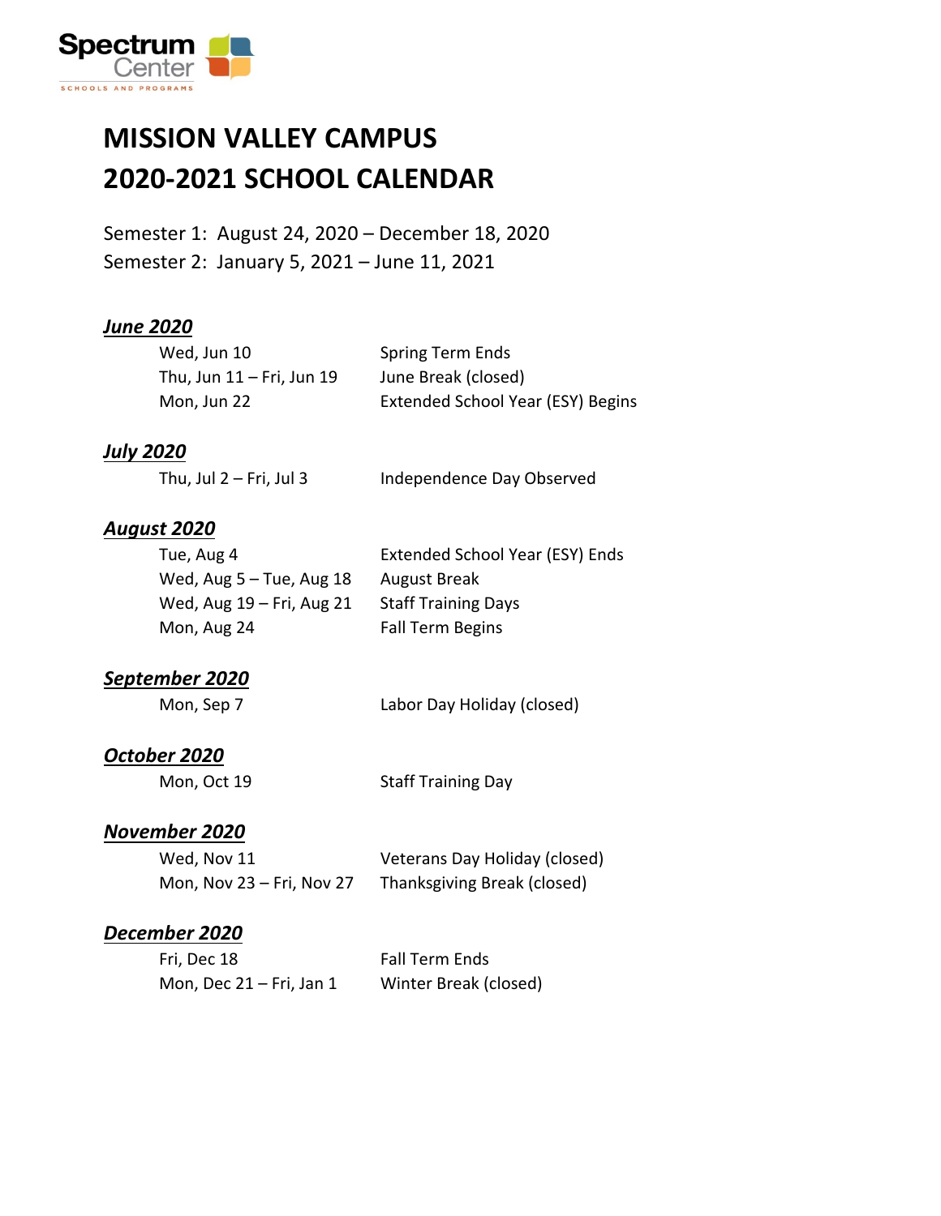

### **MISSION VALLEY CAMPUS 2020-2021 SCHOOL CALENDAR**

Semester 1: August 24, 2020 – December 18, 2020 Semester 2: January 5, 2021 – June 11, 2021

#### *June 2020*

| Wed, Jun 10               | Spring Term Ends                  |
|---------------------------|-----------------------------------|
| Thu, Jun 11 – Fri, Jun 19 | June Break (closed)               |
| Mon, Jun 22               | Extended School Year (ESY) Begins |

#### *July 2020*

#### *August 2020*

| Tue, Aug 4                  | Extended School Year (ESY) Ends |
|-----------------------------|---------------------------------|
| Wed, Aug $5 -$ Tue, Aug 18  | August Break                    |
| Wed, Aug $19$ – Fri, Aug 21 | <b>Staff Training Days</b>      |
| Mon, Aug 24                 | Fall Term Begins                |

#### *September 2020*

| Mon, Sep 7 | Labor Day Holiday (closed) |  |
|------------|----------------------------|--|
|------------|----------------------------|--|

#### *October 2020*

Mon, Oct 19 Staff Training Day

#### *November 2020*

| Wed, Nov 11               | Veterans Day Holiday (closed) |
|---------------------------|-------------------------------|
| Mon, Nov 23 - Fri, Nov 27 | Thanksgiving Break (closed)   |

#### *December 2020*

| Fri, Dec 18                 | <b>Fall Term Ends</b> |
|-----------------------------|-----------------------|
| Mon, Dec $21 - Fri$ , Jan 1 | Winter Break (closed) |